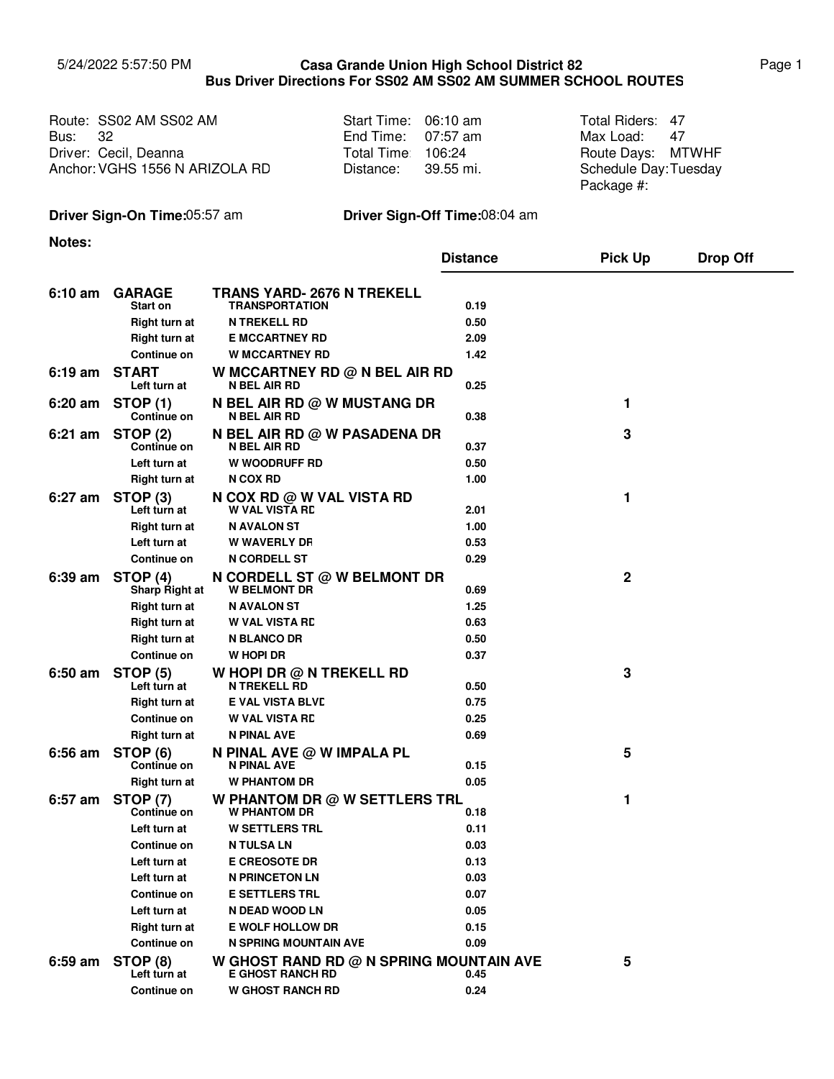## 5/24/2022 5:57:50 PM Page 1 **Casa Grande Union High School District 82 Bus Driver Directions For SS02 AM SS02 AM SUMMER SCHOOL ROUTES**

|                | Route: SS02 AM SS02 AM         | Start Time: 06:10 am | Total Riders: 47      |  |
|----------------|--------------------------------|----------------------|-----------------------|--|
| <b>Bus: 32</b> |                                | End Time: $07:57$ am | Max Load: 47          |  |
|                | Driver: Cecil, Deanna          | Total Time 106:24    | Route Days: MTWHF     |  |
|                | Anchor: VGHS 1556 N ARIZOLA RD | Distance: 39.55 mi.  | Schedule Day: Tuesday |  |

| Start Time: | 06:10 am  |
|-------------|-----------|
| End Time:   | 07:57 am  |
| Total Time: | 106:24    |
| Distance:   | 39.55 mi. |

Max Load: 47 Schedule Day: Tuesday Package #:

# **Driver Sign-On Time:**05:57 am **Driver Sign-Off Time:**08:04 am

**Notes:**

|           |                                       |                                                                    | <b>Distance</b> | <b>Pick Up</b> | <b>Drop Off</b> |
|-----------|---------------------------------------|--------------------------------------------------------------------|-----------------|----------------|-----------------|
| $6:10$ am | <b>GARAGE</b>                         | TRANS YARD- 2676 N TREKELL                                         |                 |                |                 |
|           | Start on                              | <b>TRANSPORTATION</b>                                              | 0.19            |                |                 |
|           | Right turn at                         | <b>N TREKELL RD</b>                                                | 0.50            |                |                 |
|           | <b>Right turn at</b>                  | <b>E MCCARTNEY RD</b>                                              | 2.09            |                |                 |
|           | Continue on                           | <b>W MCCARTNEY RD</b>                                              | 1.42            |                |                 |
| 6:19 am   | <b>START</b><br>Left turn at          | W MCCARTNEY RD @ N BEL AIR RD<br><b>N BEL AIR RD</b>               | 0.25            |                |                 |
| $6:20$ am | <b>STOP (1)</b><br><b>Continue on</b> | N BEL AIR RD @ W MUSTANG DR<br>N BEL AIR RD                        | 0.38            | 1              |                 |
| $6:21$ am | <b>STOP (2)</b><br>Continue on        | N BEL AIR RD @ W PASADENA DR<br>N BEL AIR RD                       | 0.37            | 3              |                 |
|           | Left turn at                          | <b>W WOODRUFF RD</b>                                               | 0.50            |                |                 |
|           | <b>Right turn at</b>                  | <b>N COX RD</b>                                                    | 1.00            |                |                 |
| 6:27 am   | STOP <sub>(3)</sub><br>Left turn at   | N COX RD @ W VAL VISTA RD<br><b>W VAL VISTA RD</b>                 | 2.01            | 1              |                 |
|           | <b>Right turn at</b>                  | <b>N AVALON ST</b>                                                 | 1.00            |                |                 |
|           | Left turn at                          | <b>W WAVERLY DF</b>                                                | 0.53            |                |                 |
|           | Continue on                           | <b>N CORDELL ST</b>                                                | 0.29            |                |                 |
| $6:39$ am | STOP (4)<br><b>Sharp Right at</b>     | N CORDELL ST @ W BELMONT DR<br><b>W BELMONT DR</b>                 | 0.69            | 2              |                 |
|           | Right turn at                         | <b>N AVALON ST</b>                                                 | 1.25            |                |                 |
|           | <b>Right turn at</b>                  | <b>W VAL VISTA RD</b>                                              | 0.63            |                |                 |
|           | Right turn at                         | <b>N BLANCO DR</b>                                                 | 0.50            |                |                 |
|           | Continue on                           | W HOPI DR                                                          | 0.37            |                |                 |
| 6:50 am   | <b>STOP (5)</b><br>Left turn at       | W HOPI DR $@$ N TREKELL RD<br><b>N TREKELL RD</b>                  | 0.50            | 3              |                 |
|           | <b>Right turn at</b>                  | <b>E VAL VISTA BLVD</b>                                            | 0.75            |                |                 |
|           | <b>Continue on</b>                    | <b>W VAL VISTA RD</b>                                              | 0.25            |                |                 |
|           | Right turn at                         | N PINAL AVE                                                        | 0.69            |                |                 |
| $6:56$ am | STOP (6)<br><b>Continue on</b>        | N PINAL AVE @ W IMPALA PL<br>N PINAL AVE                           | 0.15            | 5              |                 |
|           | <b>Right turn at</b>                  | <b>W PHANTOM DR</b>                                                | 0.05            |                |                 |
| 6:57 am   | <b>STOP (7)</b><br>Continue on        | W PHANTOM DR $@$ W SETTLERS TRL<br><b>W PHANTOM DR</b>             | 0.18            | 1              |                 |
|           | Left turn at                          | <b>W SETTLERS TRL</b>                                              | 0.11            |                |                 |
|           | <b>Continue on</b>                    | <b>N TULSA LN</b>                                                  | 0.03            |                |                 |
|           | Left turn at                          | <b>E CREOSOTE DR</b>                                               | 0.13            |                |                 |
|           | Left turn at                          | <b>N PRINCETON LN</b>                                              | 0.03            |                |                 |
|           | Continue on                           | <b>E SETTLERS TRL</b>                                              | 0.07            |                |                 |
|           | Left turn at                          | N DEAD WOOD LN                                                     | 0.05            |                |                 |
|           | <b>Right turn at</b>                  | <b>E WOLF HOLLOW DR</b>                                            | 0.15            |                |                 |
|           | Continue on                           | <b>N SPRING MOUNTAIN AVE</b>                                       | 0.09            |                |                 |
| 6:59 am   | STOP (8)<br>Left turn at              | W GHOST RAND RD @ N SPRING MOUNTAIN AVE<br><b>E GHOST RANCH RD</b> | 0.45            | 5              |                 |
|           | Continue on                           | <b>W GHOST RANCH RD</b>                                            | 0.24            |                |                 |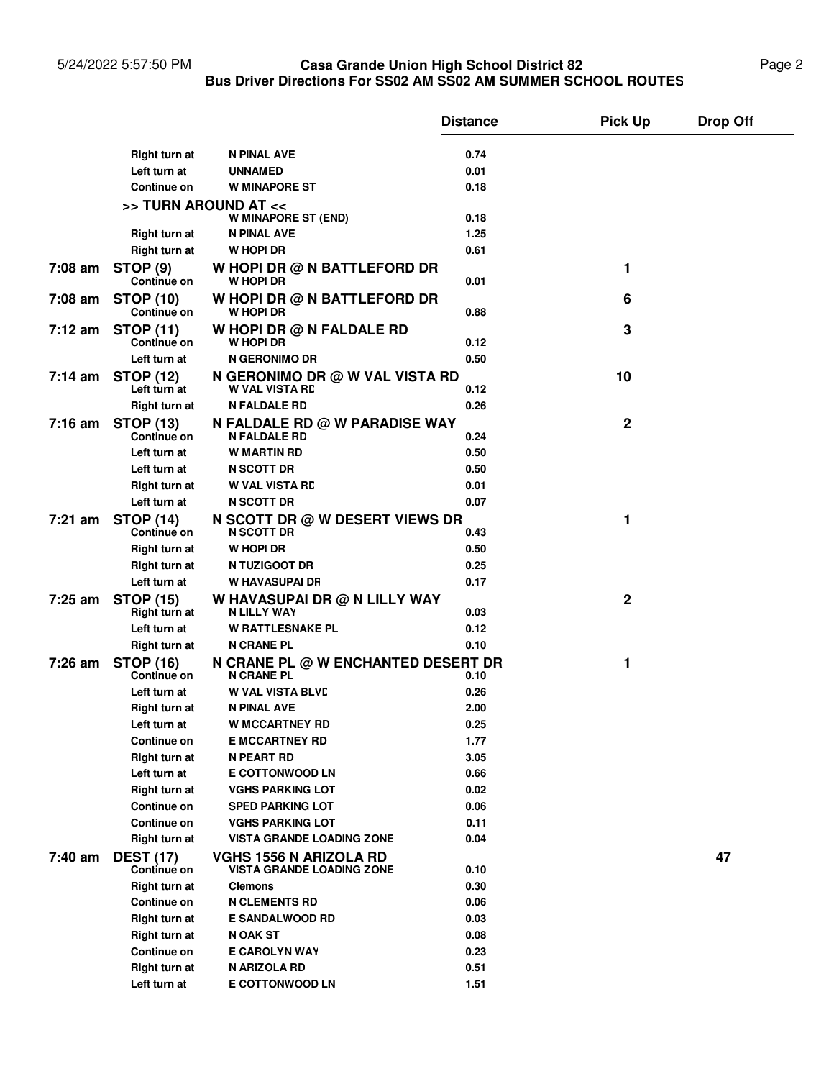### 5/24/2022 5:57:50 PM **Casa Grande Union High School District 82** Page 2 **Bus Driver Directions For SS02 AM SS02 AM SUMMER SCHOOL ROUTES Casa Grande Union High School District 82**

|           |                                         |                                                                   | <b>Distance</b> | <b>Pick Up</b> | <b>Drop Off</b> |
|-----------|-----------------------------------------|-------------------------------------------------------------------|-----------------|----------------|-----------------|
|           | <b>Right turn at</b>                    | N PINAL AVE                                                       | 0.74            |                |                 |
|           | Left turn at                            | <b>UNNAMED</b>                                                    | 0.01            |                |                 |
|           | <b>Continue on</b>                      | <b>W MINAPORE ST</b>                                              | 0.18            |                |                 |
|           |                                         | >> TURN AROUND AT <<<br>W MINAPORE ST (END)                       | 0.18            |                |                 |
|           | <b>Right turn at</b>                    | N PINAL AVE                                                       | 1.25            |                |                 |
|           | Right turn at                           | W HOPI DR                                                         | 0.61            |                |                 |
|           |                                         |                                                                   |                 |                |                 |
|           | 7:08 am STOP (9)<br><b>Continue on</b>  | W HOPI DR @ N BATTLEFORD DR<br><b>W HOPI DR</b>                   | 0.01            | 1              |                 |
| 7:08 am   | <b>STOP (10)</b><br><b>Continue on</b>  | W HOPI DR @ N BATTLEFORD DR<br>W HOPI DR                          | 0.88            | 6              |                 |
| 7:12 am   | <b>STOP (11)</b><br><b>Continue on</b>  | W HOPI DR $@$ N FALDALE RD<br><b>W HOPI DR</b>                    | 0.12            | 3              |                 |
|           | Left turn at                            | N GERONIMO DR                                                     | 0.50            |                |                 |
|           | 7:14 am STOP (12)<br>Left turn at       | N GERONIMO DR @ W VAL VISTA RD<br><b>W VAL VISTA RD</b>           | 0.12            | 10             |                 |
|           | <b>Right turn at</b>                    | N FALDALE RD                                                      | 0.26            |                |                 |
|           |                                         |                                                                   |                 | $\mathbf 2$    |                 |
|           | 7:16 am STOP (13)<br><b>Continue on</b> | N FALDALE RD @ W PARADISE WAY<br><b>N FALDALE RD</b>              | 0.24            |                |                 |
|           | Left turn at                            | <b>W MARTIN RD</b>                                                | 0.50            |                |                 |
|           | Left turn at                            | <b>N SCOTT DR</b>                                                 | 0.50            |                |                 |
|           | Right turn at                           | <b>W VAL VISTA RD</b>                                             | 0.01            |                |                 |
|           | Left turn at                            | <b>N SCOTT DR</b>                                                 | 0.07            |                |                 |
| 7:21 am   | <b>STOP (14)</b><br><b>Continue on</b>  | N SCOTT DR @ W DESERT VIEWS DR<br><b>N SCOTT DR</b>               | 0.43            | 1              |                 |
|           | <b>Right turn at</b>                    | W HOPI DR                                                         | 0.50            |                |                 |
|           | <b>Right turn at</b>                    | N TUZIGOOT DR                                                     | 0.25            |                |                 |
|           | Left turn at                            | <b>W HAVASUPAI DR</b>                                             | 0.17            |                |                 |
| $7:25$ am | <b>STOP (15)</b><br>Right turn at       | W HAVASUPAI DR @ N LILLY WAY<br>N LILLY WAY                       | 0.03            | 2              |                 |
|           | Left turn at                            | <b>W RATTLESNAKE PL</b>                                           | 0.12            |                |                 |
|           | <b>Right turn at</b>                    | <b>N CRANE PL</b>                                                 | 0.10            |                |                 |
| 7:26 am   | <b>STOP (16)</b>                        | N CRANE PL @ W ENCHANTED DESERT DR                                |                 | 1              |                 |
|           | Continue on<br>Left turn at             | <b>N CRANE PL</b><br><b>W VAL VISTA BLVD</b>                      | 0.10<br>0.26    |                |                 |
|           | Right turn at                           | N PINAL AVE                                                       | 2.00            |                |                 |
|           | Left turn at                            |                                                                   | 0.25            |                |                 |
|           |                                         | <b>W MCCARTNEY RD</b>                                             |                 |                |                 |
|           | <b>Continue on</b><br>Right turn at     | <b>E MCCARTNEY RD</b><br><b>N PEART RD</b>                        | 1.77            |                |                 |
|           |                                         |                                                                   | 3.05            |                |                 |
|           | Left turn at                            | <b>E COTTONWOOD LN</b>                                            | 0.66            |                |                 |
|           | <b>Right turn at</b>                    | <b>VGHS PARKING LOT</b>                                           | 0.02            |                |                 |
|           | <b>Continue on</b>                      | <b>SPED PARKING LOT</b>                                           | 0.06            |                |                 |
|           | Continue on                             | <b>VGHS PARKING LOT</b>                                           | 0.11            |                |                 |
|           | <b>Right turn at</b>                    | <b>VISTA GRANDE LOADING ZONE</b>                                  | 0.04            |                |                 |
| 7:40 am   | <b>DEST (17)</b><br><b>Continue on</b>  | <b>VGHS 1556 N ARIZOLA RD</b><br><b>VISTA GRANDE LOADING ZONE</b> | 0.10            |                | 47              |
|           | <b>Right turn at</b>                    | <b>Clemons</b>                                                    | 0.30            |                |                 |
|           | Continue on                             | <b>N CLEMENTS RD</b>                                              | 0.06            |                |                 |
|           | <b>Right turn at</b>                    | <b>E SANDALWOOD RD</b>                                            | 0.03            |                |                 |
|           | <b>Right turn at</b>                    | N OAK ST                                                          | 0.08            |                |                 |
|           | Continue on                             | <b>E CAROLYN WAY</b>                                              | 0.23            |                |                 |
|           | <b>Right turn at</b>                    | N ARIZOLA RD                                                      | 0.51            |                |                 |
|           | Left turn at                            | <b>E COTTONWOOD LN</b>                                            | 1.51            |                |                 |